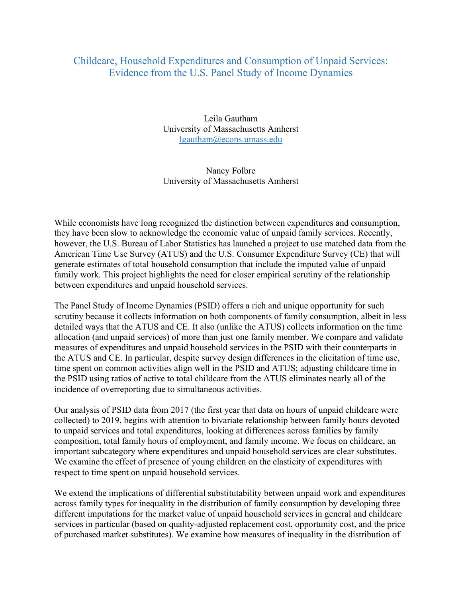## Childcare, Household Expenditures and Consumption of Unpaid Services: Evidence from the U.S. Panel Study of Income Dynamics

Leila Gautham University of Massachusetts Amherst lgautham@econs.umass.edu

## Nancy Folbre University of Massachusetts Amherst

While economists have long recognized the distinction between expenditures and consumption, they have been slow to acknowledge the economic value of unpaid family services. Recently, however, the U.S. Bureau of Labor Statistics has launched a project to use matched data from the American Time Use Survey (ATUS) and the U.S. Consumer Expenditure Survey (CE) that will generate estimates of total household consumption that include the imputed value of unpaid family work. This project highlights the need for closer empirical scrutiny of the relationship between expenditures and unpaid household services.

The Panel Study of Income Dynamics (PSID) offers a rich and unique opportunity for such scrutiny because it collects information on both components of family consumption, albeit in less detailed ways that the ATUS and CE. It also (unlike the ATUS) collects information on the time allocation (and unpaid services) of more than just one family member. We compare and validate measures of expenditures and unpaid household services in the PSID with their counterparts in the ATUS and CE. In particular, despite survey design differences in the elicitation of time use, time spent on common activities align well in the PSID and ATUS; adjusting childcare time in the PSID using ratios of active to total childcare from the ATUS eliminates nearly all of the incidence of overreporting due to simultaneous activities.

Our analysis of PSID data from 2017 (the first year that data on hours of unpaid childcare were collected) to 2019, begins with attention to bivariate relationship between family hours devoted to unpaid services and total expenditures, looking at differences across families by family composition, total family hours of employment, and family income. We focus on childcare, an important subcategory where expenditures and unpaid household services are clear substitutes. We examine the effect of presence of young children on the elasticity of expenditures with respect to time spent on unpaid household services.

We extend the implications of differential substitutability between unpaid work and expenditures across family types for inequality in the distribution of family consumption by developing three different imputations for the market value of unpaid household services in general and childcare services in particular (based on quality-adjusted replacement cost, opportunity cost, and the price of purchased market substitutes). We examine how measures of inequality in the distribution of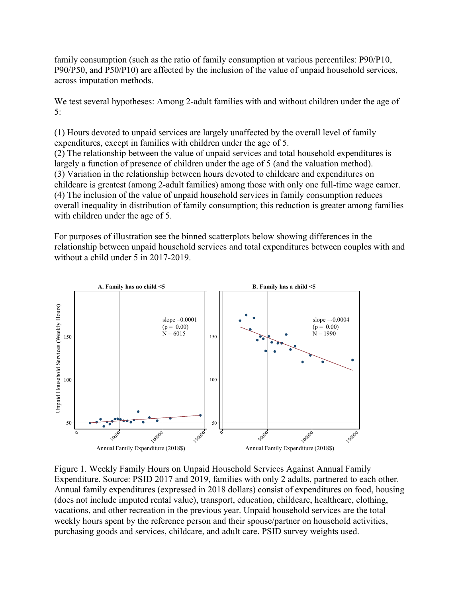family consumption (such as the ratio of family consumption at various percentiles: P90/P10, P90/P50, and P50/P10) are affected by the inclusion of the value of unpaid household services, across imputation methods.

We test several hypotheses: Among 2-adult families with and without children under the age of 5:

(1) Hours devoted to unpaid services are largely unaffected by the overall level of family expenditures, except in families with children under the age of 5.

(2) The relationship between the value of unpaid services and total household expenditures is largely a function of presence of children under the age of 5 (and the valuation method). (3) Variation in the relationship between hours devoted to childcare and expenditures on childcare is greatest (among 2-adult families) among those with only one full-time wage earner. (4) The inclusion of the value of unpaid household services in family consumption reduces overall inequality in distribution of family consumption; this reduction is greater among families with children under the age of 5.

For purposes of illustration see the binned scatterplots below showing differences in the relationship between unpaid household services and total expenditures between couples with and without a child under 5 in 2017-2019.



Figure 1. Weekly Family Hours on Unpaid Household Services Against Annual Family Expenditure. Source: PSID 2017 and 2019, families with only 2 adults, partnered to each other. Annual family expenditures (expressed in 2018 dollars) consist of expenditures on food, housing (does not include imputed rental value), transport, education, childcare, healthcare, clothing, vacations, and other recreation in the previous year. Unpaid household services are the total weekly hours spent by the reference person and their spouse/partner on household activities, purchasing goods and services, childcare, and adult care. PSID survey weights used.